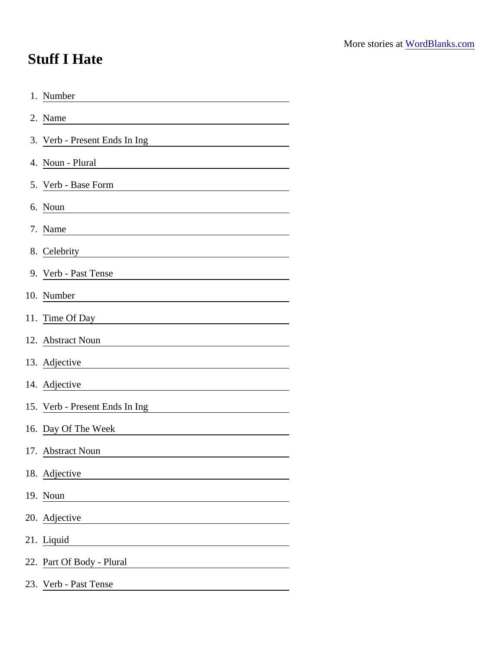## Stuff I Hate

| 1. Number                                                                                                                                              |  |
|--------------------------------------------------------------------------------------------------------------------------------------------------------|--|
| 2. Name                                                                                                                                                |  |
| 3. Verb - Present Ends In Ing                                                                                                                          |  |
| 4. Noun - Plural                                                                                                                                       |  |
| 5. Verb - Base Form                                                                                                                                    |  |
| 6. Noun                                                                                                                                                |  |
| 7. Name                                                                                                                                                |  |
| 8. Celebrity<br><u> 1980 - Johann Barn, mars ann an t-Amhain Aonaich an t-Aonaich an t-Aonaich an t-Aonaich an t-Aonaich an t-Aon</u>                  |  |
| 9. Verb - Past Tense                                                                                                                                   |  |
| 10. Number                                                                                                                                             |  |
|                                                                                                                                                        |  |
| 12. Abstract Noun<br><u> 1989 - John Stein, mars and de Brazilian (b. 1989)</u>                                                                        |  |
| 13. Adjective                                                                                                                                          |  |
| 14. Adjective<br><u> 1989 - Jan Sterlinger, fransk politiker (d. 1989)</u>                                                                             |  |
| 15. Verb - Present Ends In Ing<br><u> 1980 - Jan Stein Stein Stein Stein Stein Stein Stein Stein Stein Stein Stein Stein Stein Stein Stein Stein S</u> |  |
| 16. Day Of The Week                                                                                                                                    |  |
| 17. Abstract Noun                                                                                                                                      |  |
| 18. Adjective                                                                                                                                          |  |
| 19. Noun                                                                                                                                               |  |
| 20. Adjective<br><u> 1980 - Jan Stein Harry Stein Harry Stein Harry Stein Harry Stein Harry Stein Harry Stein Harry Stein Harry St</u>                 |  |
| 21. Liquid                                                                                                                                             |  |
| 22. Part Of Body - Plural                                                                                                                              |  |
| 23. Verb - Past Tense                                                                                                                                  |  |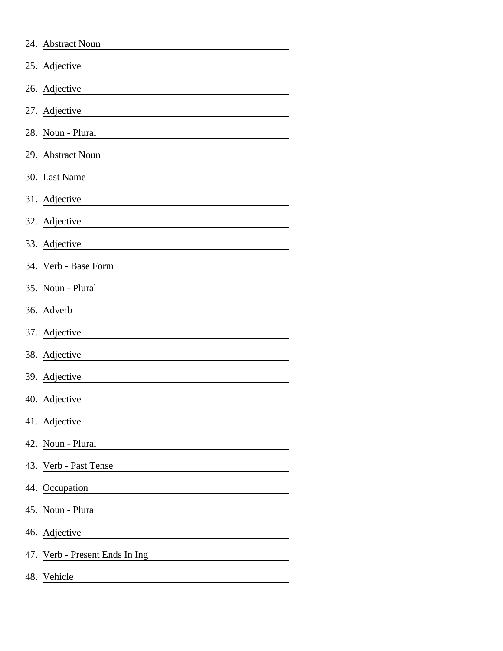|     | 24. Abstract Noun              |
|-----|--------------------------------|
|     | 25. Adjective                  |
|     | 26. Adjective                  |
|     | 27. Adjective                  |
|     | 28. Noun - Plural              |
|     | 29. Abstract Noun              |
|     | 30. Last Name                  |
|     | 31. Adjective                  |
|     | 32. Adjective                  |
|     | 33. Adjective                  |
|     | 34. Verb - Base Form           |
|     | 35. Noun - Plural              |
|     | 36. Adverb                     |
|     | 37. Adjective                  |
|     | 38. Adjective                  |
|     | 39. Adjective                  |
|     | 40. Adjective                  |
|     | 41. Adjective                  |
|     | 42. Noun - Plural              |
|     | 43. Verb - Past Tense          |
|     | 44. Occupation                 |
|     | 45. Noun - Plural              |
|     | 46. Adjective                  |
|     | 47. Verb - Present Ends In Ing |
| 48. | Vehicle                        |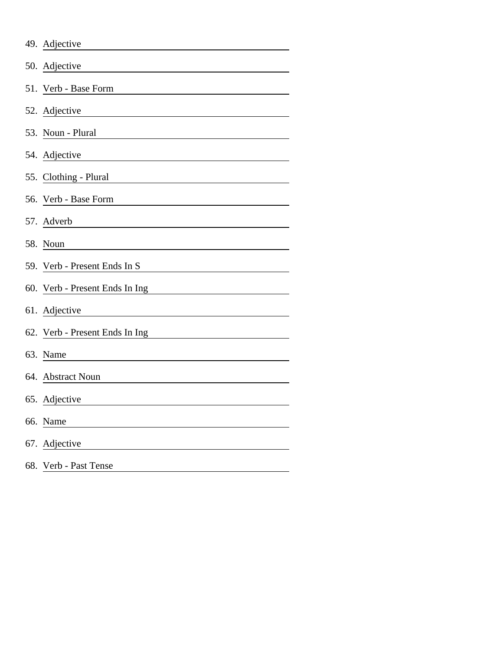|     | 49. Adjective                                                                                                                          |
|-----|----------------------------------------------------------------------------------------------------------------------------------------|
|     | 50. Adjective                                                                                                                          |
|     | 51. Verb - Base Form                                                                                                                   |
|     | 52. Adjective                                                                                                                          |
|     | 53. Noun - Plural                                                                                                                      |
|     | 54. Adjective                                                                                                                          |
|     | 55. Clothing - Plural                                                                                                                  |
|     | 56. Verb - Base Form                                                                                                                   |
|     | 57. Adverb<br><u> 1989 - Johann Stoff, deutscher Stoffen und der Stoffen und der Stoffen und der Stoffen und der Stoffen und der </u>  |
|     | 58. Noun                                                                                                                               |
|     | 59. Verb - Present Ends In S                                                                                                           |
|     | 60. Verb - Present Ends In Ing                                                                                                         |
|     | 61. Adjective<br><u> Alexandria de la propia de la propia de la propia de la propia de la propia de la propia de la propia de la p</u> |
|     | 62. Verb - Present Ends In Ing                                                                                                         |
|     | 63. Name                                                                                                                               |
|     | 64. Abstract Noun                                                                                                                      |
|     | 65. Adjective                                                                                                                          |
| 66. | Name                                                                                                                                   |
| 67. | Adjective                                                                                                                              |
| 68. | Verb - Past Tense                                                                                                                      |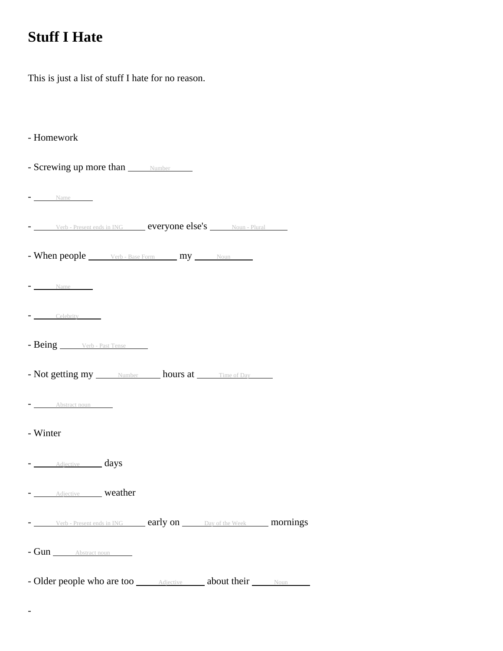## **Stuff I Hate**

This is just a list of stuff I hate for no reason.

- Homework

- Screwing up more than  $\frac{N \text{ number}}{N}$
- $-$  Name

- Verb - Present ends in ING **everyone else's** Noun - Plural

- When people Verb - Base Form my Noun

- Name
- Celebrity
- Being Verb Past Tense

- Not getting my Number hours at Time of Day

- Abstract noun

- Winter

-

- Adjective days
- **Adjective weather**

- Verb - Present ends in ING **early on** Day of the Week **mornings** 

- Gun Abstract noun

- Older people who are too **Adjective Adjective** about their Noun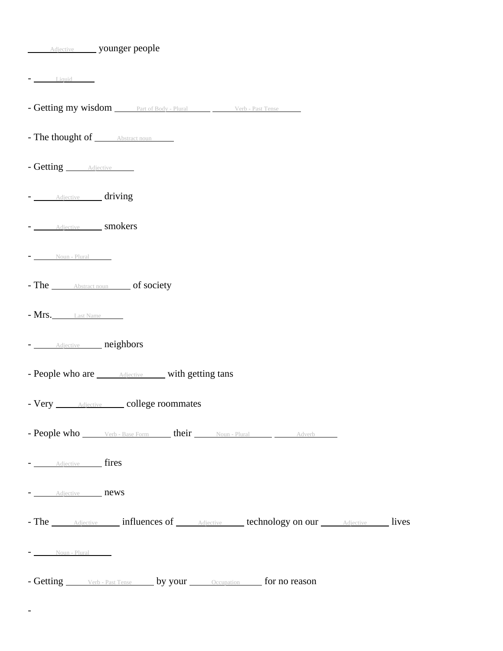| <b>Adjective</b> younger people                                                         |  |
|-----------------------------------------------------------------------------------------|--|
| $-$ Liquid $-$                                                                          |  |
| - Getting my wisdom _____ Part of Body - Plural _____ _____ Verb - Past Tense           |  |
| - The thought of <u>Abstract noun</u>                                                   |  |
| - Getting <i>Adjective</i>                                                              |  |
| - Adjective driving                                                                     |  |
| - Adjective smokers                                                                     |  |
| $\overline{\phantom{a}}$ Noun - Plural                                                  |  |
| - The Abstract noun of society                                                          |  |
| $- Mrs.$ Last Name                                                                      |  |
| - Adjective neighbors                                                                   |  |
| - People who are <u>Adjective</u> with getting tans                                     |  |
| - Very <b>Adjective</b> college roommates                                               |  |
| - People who <u>verb-Base Form</u> their Noun-Plural <u>Noun-Adverb</u>                 |  |
| - Adjective fires                                                                       |  |
| - Adjective news                                                                        |  |
| - The <i>Adjective</i> influences of <i>Adjective Lechnology on our Adjective</i> lives |  |
| $\overline{\phantom{a} - \underline{\hspace{1cm}}$ Noun - Plural                        |  |
| - Getting <u>verb-Past Tense</u> by your <u>cocupation</u> for no reason                |  |

-